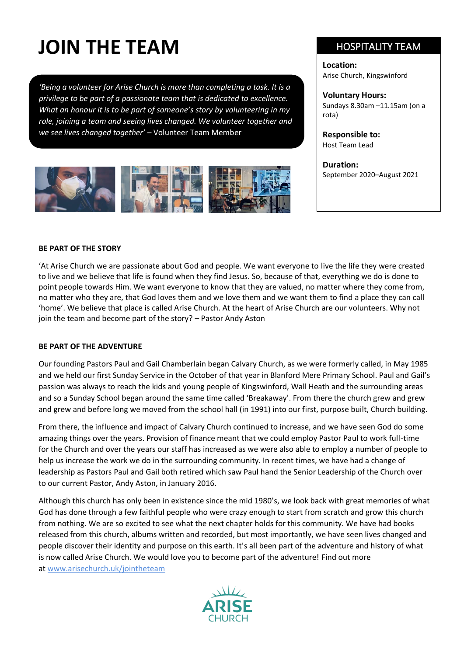# **JOIN THE TEAM**

*'Being a volunteer for Arise Church is more than completing a task. It is a privilege to be part of a passionate team that is dedicated to excellence. What an honour it is to be part of someone's story by volunteering in my role, joining a team and seeing lives changed. We volunteer together and we see lives changed together'* – Volunteer Team Member



## HOSPITALITY TEAM

**Location:** Arise Church, Kingswinford

**Voluntary Hours:** Sundays 8.30am –11.15am (on a rota)

**Responsible to:**  Host Team Lead

**Duration:** September 2020–August 2021

### **BE PART OF THE STORY**

'At Arise Church we are passionate about God and people. We want everyone to live the life they were created to live and we believe that life is found when they find Jesus. So, because of that, everything we do is done to point people towards Him. We want everyone to know that they are valued, no matter where they come from, no matter who they are, that God loves them and we love them and we want them to find a place they can call 'home'. We believe that place is called Arise Church. At the heart of Arise Church are our volunteers. Why not join the team and become part of the story? – Pastor Andy Aston

### **BE PART OF THE ADVENTURE**

Our founding Pastors Paul and Gail Chamberlain began Calvary Church, as we were formerly called, in May 1985 and we held our first Sunday Service in the October of that year in Blanford Mere Primary School. Paul and Gail's passion was always to reach the kids and young people of Kingswinford, Wall Heath and the surrounding areas and so a Sunday School began around the same time called 'Breakaway'. From there the church grew and grew and grew and before long we moved from the school hall (in 1991) into our first, purpose built, Church building.

From there, the influence and impact of Calvary Church continued to increase, and we have seen God do some amazing things over the years. Provision of finance meant that we could employ Pastor Paul to work full-time for the Church and over the years our staff has increased as we were also able to employ a number of people to help us increase the work we do in the surrounding community. In recent times, we have had a change of leadership as Pastors Paul and Gail both retired which saw Paul hand the Senior Leadership of the Church over to our current Pastor, Andy Aston, in January 2016.

Although this church has only been in existence since the mid 1980's, we look back with great memories of what God has done through a few faithful people who were crazy enough to start from scratch and grow this church from nothing. We are so excited to see what the next chapter holds for this community. We have had books released from this church, albums written and recorded, but most importantly, we have seen lives changed and people discover their identity and purpose on this earth. It's all been part of the adventure and history of what is now called Arise Church. We would love you to become part of the adventure! Find out more at [www.arisechurch.uk/jointheteam](http://www.arisechurch.uk/jointheteam)